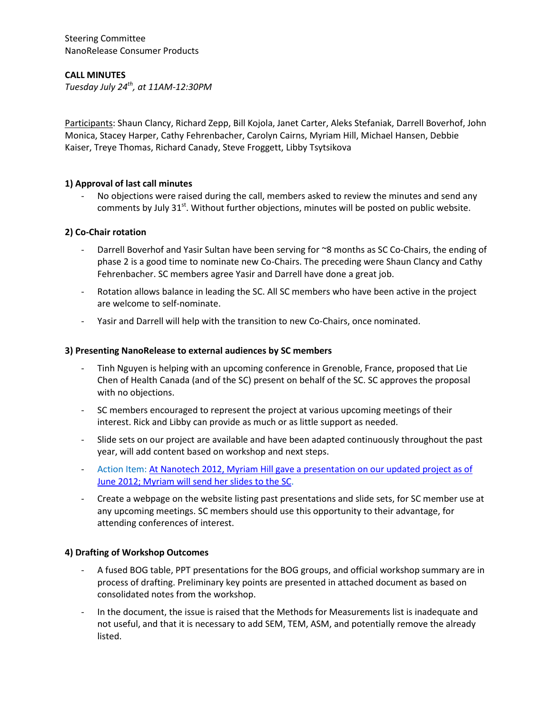Steering Committee NanoRelease Consumer Products

# **CALL MINUTES**

*Tuesday July 24th, at 11AM-12:30PM*

Participants: Shaun Clancy, Richard Zepp, Bill Kojola, Janet Carter, Aleks Stefaniak, Darrell Boverhof, John Monica, Stacey Harper, Cathy Fehrenbacher, Carolyn Cairns, Myriam Hill, Michael Hansen, Debbie Kaiser, Treye Thomas, Richard Canady, Steve Froggett, Libby Tsytsikova

# **1) Approval of last call minutes**

No objections were raised during the call, members asked to review the minutes and send any comments by July 31 $^{\text{st}}$ . Without further objections, minutes will be posted on public website.

### **2) Co-Chair rotation**

- Darrell Boverhof and Yasir Sultan have been serving for ~8 months as SC Co-Chairs, the ending of phase 2 is a good time to nominate new Co-Chairs. The preceding were Shaun Clancy and Cathy Fehrenbacher. SC members agree Yasir and Darrell have done a great job.
- Rotation allows balance in leading the SC. All SC members who have been active in the project are welcome to self-nominate.
- Yasir and Darrell will help with the transition to new Co-Chairs, once nominated.

#### **3) Presenting NanoRelease to external audiences by SC members**

- Tinh Nguyen is helping with an upcoming conference in Grenoble, France, proposed that Lie Chen of Health Canada (and of the SC) present on behalf of the SC. SC approves the proposal with no objections.
- SC members encouraged to represent the project at various upcoming meetings of their interest. Rick and Libby can provide as much or as little support as needed.
- Slide sets on our project are available and have been adapted continuously throughout the past year, will add content based on workshop and next steps.
- Action Item[: At Nanotech 2012, Myriam Hill gave a presentation on our updated project as of](https://ilsiresearchfoundation.glasscubes.com/cube/document/343029)  [June 2012; Myriam will send her slides](https://ilsiresearchfoundation.glasscubes.com/cube/document/343029) to the SC.
- Create a webpage on the website listing past presentations and slide sets, for SC member use at any upcoming meetings. SC members should use this opportunity to their advantage, for attending conferences of interest.

# **4) Drafting of Workshop Outcomes**

- A fused BOG table, PPT presentations for the BOG groups, and official workshop summary are in process of drafting. Preliminary key points are presented in attached document as based on consolidated notes from the workshop.
- In the document, the issue is raised that the Methods for Measurements list is inadequate and not useful, and that it is necessary to add SEM, TEM, ASM, and potentially remove the already listed.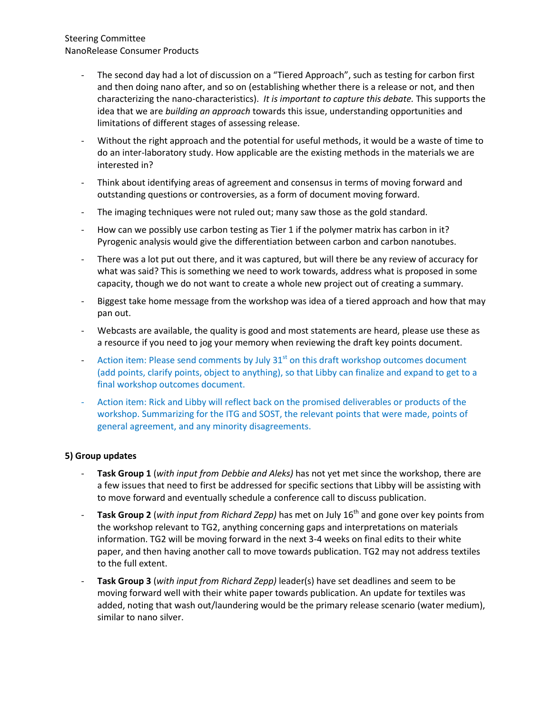# Steering Committee NanoRelease Consumer Products

- The second day had a lot of discussion on a "Tiered Approach", such as testing for carbon first and then doing nano after, and so on (establishing whether there is a release or not, and then characterizing the nano-characteristics). *It is important to capture this debate.* This supports the idea that we are *building an approach* towards this issue, understanding opportunities and limitations of different stages of assessing release.
- Without the right approach and the potential for useful methods, it would be a waste of time to do an inter-laboratory study. How applicable are the existing methods in the materials we are interested in?
- Think about identifying areas of agreement and consensus in terms of moving forward and outstanding questions or controversies, as a form of document moving forward.
- The imaging techniques were not ruled out; many saw those as the gold standard.
- How can we possibly use carbon testing as Tier 1 if the polymer matrix has carbon in it? Pyrogenic analysis would give the differentiation between carbon and carbon nanotubes.
- There was a lot put out there, and it was captured, but will there be any review of accuracy for what was said? This is something we need to work towards, address what is proposed in some capacity, though we do not want to create a whole new project out of creating a summary.
- Biggest take home message from the workshop was idea of a tiered approach and how that may pan out.
- Webcasts are available, the quality is good and most statements are heard, please use these as a resource if you need to jog your memory when reviewing the draft key points document.
- Action item: Please send comments by July 31<sup>st</sup> on this draft workshop outcomes document (add points, clarify points, object to anything), so that Libby can finalize and expand to get to a final workshop outcomes document.
- Action item: Rick and Libby will reflect back on the promised deliverables or products of the workshop. Summarizing for the ITG and SOST, the relevant points that were made, points of general agreement, and any minority disagreements.

# **5) Group updates**

- **Task Group 1** (*with input from Debbie and Aleks)* has not yet met since the workshop, there are a few issues that need to first be addressed for specific sections that Libby will be assisting with to move forward and eventually schedule a conference call to discuss publication.
- **Task Group 2** (*with input from Richard Zepp)* has met on July 16th and gone over key points from the workshop relevant to TG2, anything concerning gaps and interpretations on materials information. TG2 will be moving forward in the next 3-4 weeks on final edits to their white paper, and then having another call to move towards publication. TG2 may not address textiles to the full extent.
- **Task Group 3** (*with input from Richard Zepp)* leader(s) have set deadlines and seem to be moving forward well with their white paper towards publication. An update for textiles was added, noting that wash out/laundering would be the primary release scenario (water medium), similar to nano silver.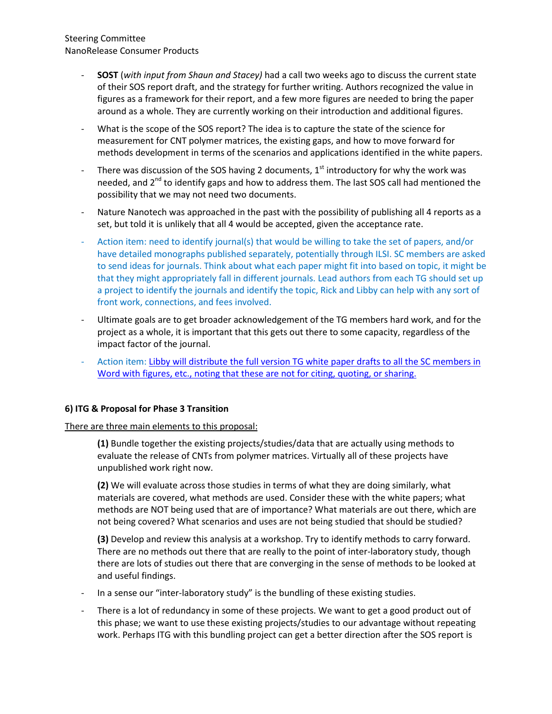# Steering Committee NanoRelease Consumer Products

- **SOST** (*with input from Shaun and Stacey)* had a call two weeks ago to discuss the current state of their SOS report draft, and the strategy for further writing. Authors recognized the value in figures as a framework for their report, and a few more figures are needed to bring the paper around as a whole. They are currently working on their introduction and additional figures.
- What is the scope of the SOS report? The idea is to capture the state of the science for measurement for CNT polymer matrices, the existing gaps, and how to move forward for methods development in terms of the scenarios and applications identified in the white papers.
- There was discussion of the SOS having 2 documents,  $1<sup>st</sup>$  introductory for why the work was needed, and  $2<sup>nd</sup>$  to identify gaps and how to address them. The last SOS call had mentioned the possibility that we may not need two documents.
- Nature Nanotech was approached in the past with the possibility of publishing all 4 reports as a set, but told it is unlikely that all 4 would be accepted, given the acceptance rate.
- Action item: need to identify journal(s) that would be willing to take the set of papers, and/or have detailed monographs published separately, potentially through ILSI. SC members are asked to send ideas for journals. Think about what each paper might fit into based on topic, it might be that they might appropriately fall in different journals. Lead authors from each TG should set up a project to identify the journals and identify the topic, Rick and Libby can help with any sort of front work, connections, and fees involved.
- Ultimate goals are to get broader acknowledgement of the TG members hard work, and for the project as a whole, it is important that this gets out there to some capacity, regardless of the impact factor of the journal.
- Action item: [Libby will distribute the full](https://ilsiresearchfoundation.glasscubes.com/cube/documents/40667/51734) version TG white paper drafts to all the SC members in [Word with figures, etc., noting that these are not for citing, quoting, or sharing.](https://ilsiresearchfoundation.glasscubes.com/cube/documents/40667/51734)

# **6) ITG & Proposal for Phase 3 Transition**

There are three main elements to this proposal:

**(1)** Bundle together the existing projects/studies/data that are actually using methods to evaluate the release of CNTs from polymer matrices. Virtually all of these projects have unpublished work right now.

**(2)** We will evaluate across those studies in terms of what they are doing similarly, what materials are covered, what methods are used. Consider these with the white papers; what methods are NOT being used that are of importance? What materials are out there, which are not being covered? What scenarios and uses are not being studied that should be studied?

**(3)** Develop and review this analysis at a workshop. Try to identify methods to carry forward. There are no methods out there that are really to the point of inter-laboratory study, though there are lots of studies out there that are converging in the sense of methods to be looked at and useful findings.

- In a sense our "inter-laboratory study" is the bundling of these existing studies.
- There is a lot of redundancy in some of these projects. We want to get a good product out of this phase; we want to use these existing projects/studies to our advantage without repeating work. Perhaps ITG with this bundling project can get a better direction after the SOS report is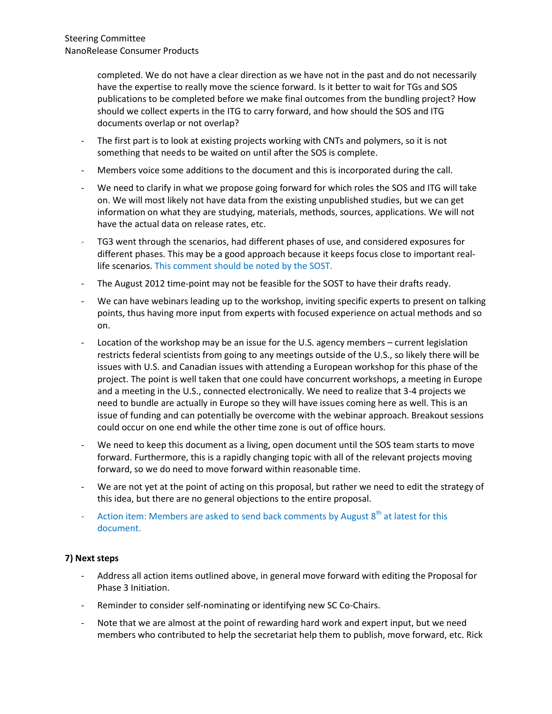completed. We do not have a clear direction as we have not in the past and do not necessarily have the expertise to really move the science forward. Is it better to wait for TGs and SOS publications to be completed before we make final outcomes from the bundling project? How should we collect experts in the ITG to carry forward, and how should the SOS and ITG documents overlap or not overlap?

- The first part is to look at existing projects working with CNTs and polymers, so it is not something that needs to be waited on until after the SOS is complete.
- Members voice some additions to the document and this is incorporated during the call.
- We need to clarify in what we propose going forward for which roles the SOS and ITG will take on. We will most likely not have data from the existing unpublished studies, but we can get information on what they are studying, materials, methods, sources, applications. We will not have the actual data on release rates, etc.
- TG3 went through the scenarios, had different phases of use, and considered exposures for different phases. This may be a good approach because it keeps focus close to important reallife scenarios. This comment should be noted by the SOST.
- The August 2012 time-point may not be feasible for the SOST to have their drafts ready.
- We can have webinars leading up to the workshop, inviting specific experts to present on talking points, thus having more input from experts with focused experience on actual methods and so on.
- Location of the workshop may be an issue for the U.S. agency members current legislation restricts federal scientists from going to any meetings outside of the U.S., so likely there will be issues with U.S. and Canadian issues with attending a European workshop for this phase of the project. The point is well taken that one could have concurrent workshops, a meeting in Europe and a meeting in the U.S., connected electronically. We need to realize that 3-4 projects we need to bundle are actually in Europe so they will have issues coming here as well. This is an issue of funding and can potentially be overcome with the webinar approach. Breakout sessions could occur on one end while the other time zone is out of office hours.
- We need to keep this document as a living, open document until the SOS team starts to move forward. Furthermore, this is a rapidly changing topic with all of the relevant projects moving forward, so we do need to move forward within reasonable time.
- We are not yet at the point of acting on this proposal, but rather we need to edit the strategy of this idea, but there are no general objections to the entire proposal.
- Action item: Members are asked to send back comments by August  $8<sup>th</sup>$  at latest for this document.

# **7) Next steps**

- Address all action items outlined above, in general move forward with editing the Proposal for Phase 3 Initiation.
- Reminder to consider self-nominating or identifying new SC Co-Chairs.
- Note that we are almost at the point of rewarding hard work and expert input, but we need members who contributed to help the secretariat help them to publish, move forward, etc. Rick